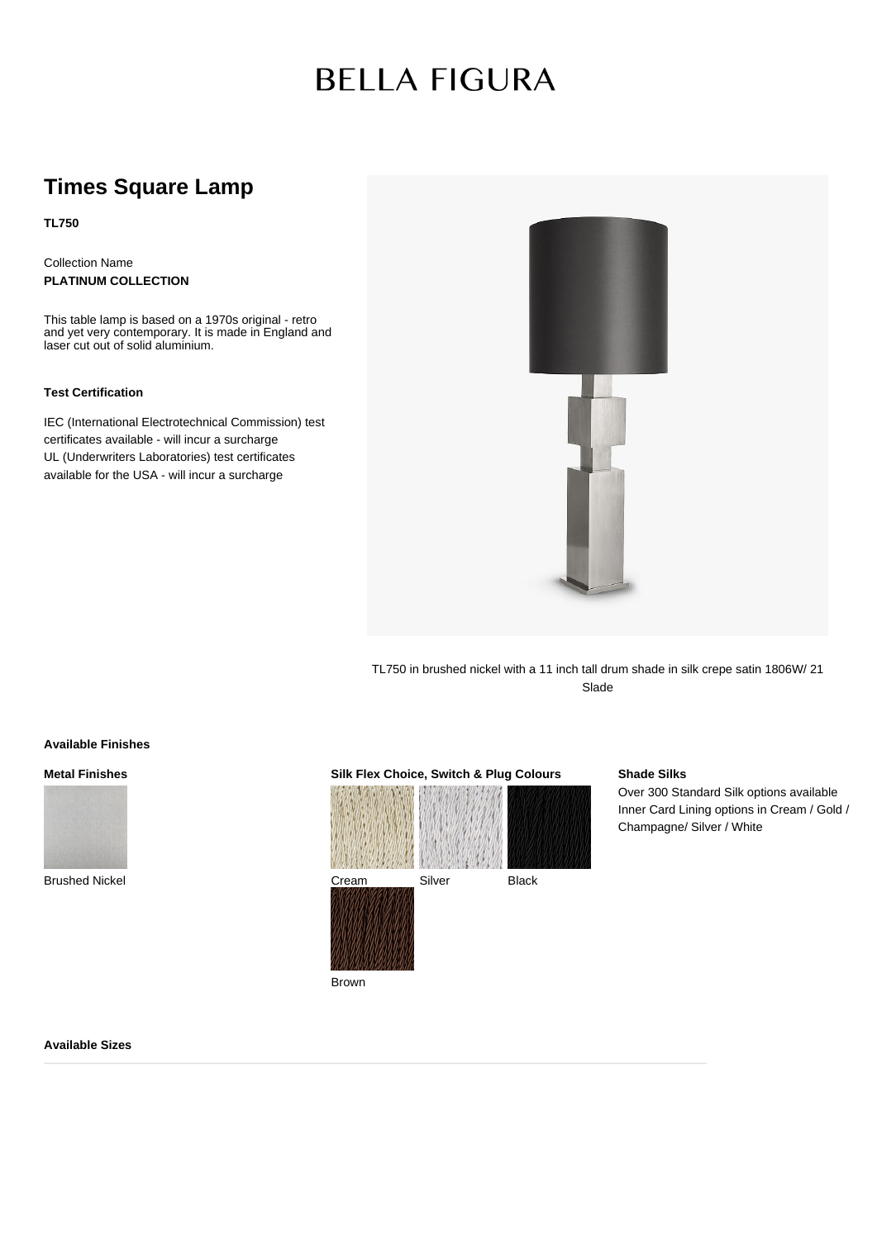# **BELLA FIGURA**

## **Times Square Lamp**

**TL750**

Collection Name **PLATINUM COLLECTION**

This table lamp is based on a 1970s original - retro and yet very contemporary. It is made in England and laser cut out of solid aluminium.

#### **Test Certification**

IEC (International Electrotechnical Commission) test certificates available - will incur a surcharge UL (Underwriters Laboratories) test certificates available for the USA - will incur a surcharge



TL750 in brushed nickel with a 11 inch tall drum shade in silk crepe satin 1806W/ 21 Slade

#### **Available Finishes**

**Metal Finishes**



Brushed Nickel



### **Shade Silks**

Over 300 Standard Silk options available Inner Card Lining options in Cream / Gold / Champagne/ Silver / White

#### **Available Sizes**